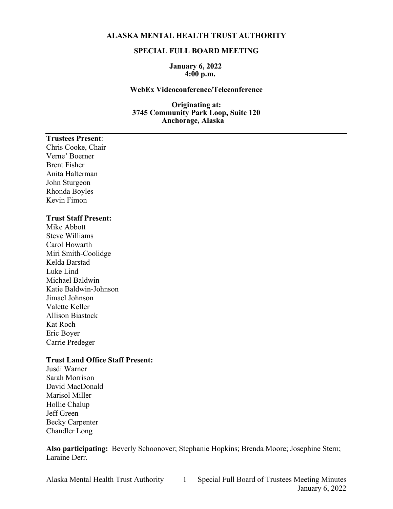### **ALASKA MENTAL HEALTH TRUST AUTHORITY**

#### **SPECIAL FULL BOARD MEETING**

#### **January 6, 2022 4:00 p.m.**

## **WebEx Videoconference/Teleconference**

#### **Originating at: 3745 Community Park Loop, Suite 120 Anchorage, Alaska**

# **Trustees Present**:

Chris Cooke, Chair Verne' Boerner Brent Fisher Anita Halterman John Sturgeon Rhonda Boyles Kevin Fimon

#### **Trust Staff Present:**

Mike Abbott Steve Williams Carol Howarth Miri Smith-Coolidge Kelda Barstad Luke Lind Michael Baldwin Katie Baldwin-Johnson Jimael Johnson Valette Keller Allison Biastock Kat Roch Eric Boyer Carrie Predeger

## **Trust Land Office Staff Present:**

Jusdi Warner Sarah Morrison David MacDonald Marisol Miller Hollie Chalup Jeff Green Becky Carpenter Chandler Long

**Also participating:** Beverly Schoonover; Stephanie Hopkins; Brenda Moore; Josephine Stern; Laraine Derr.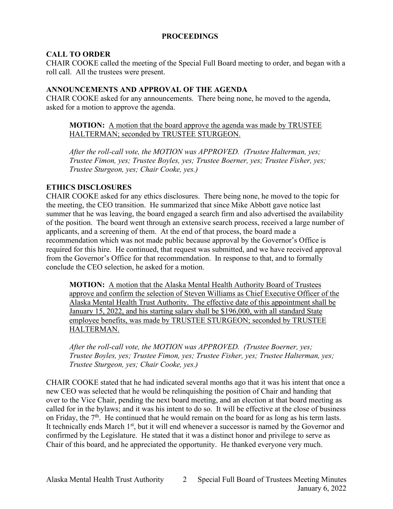## **PROCEEDINGS**

## **CALL TO ORDER**

CHAIR COOKE called the meeting of the Special Full Board meeting to order, and began with a roll call. All the trustees were present.

## **ANNOUNCEMENTS AND APPROVAL OF THE AGENDA**

CHAIR COOKE asked for any announcements. There being none, he moved to the agenda, asked for a motion to approve the agenda.

**MOTION:** A motion that the board approve the agenda was made by TRUSTEE HALTERMAN; seconded by TRUSTEE STURGEON.

*After the roll-call vote, the MOTION was APPROVED. (Trustee Halterman, yes; Trustee Fimon, yes; Trustee Boyles, yes; Trustee Boerner, yes; Trustee Fisher, yes; Trustee Sturgeon, yes; Chair Cooke, yes.)*

# **ETHICS DISCLOSURES**

CHAIR COOKE asked for any ethics disclosures. There being none, he moved to the topic for the meeting, the CEO transition. He summarized that since Mike Abbott gave notice last summer that he was leaving, the board engaged a search firm and also advertised the availability of the position. The board went through an extensive search process, received a large number of applicants, and a screening of them. At the end of that process, the board made a recommendation which was not made public because approval by the Governor's Office is required for this hire. He continued, that request was submitted, and we have received approval from the Governor's Office for that recommendation. In response to that, and to formally conclude the CEO selection, he asked for a motion.

**MOTION:** A motion that the Alaska Mental Health Authority Board of Trustees approve and confirm the selection of Steven Williams as Chief Executive Officer of the Alaska Mental Health Trust Authority. The effective date of this appointment shall be January 15, 2022, and his starting salary shall be \$196,000, with all standard State employee benefits, was made by TRUSTEE STURGEON; seconded by TRUSTEE HALTERMAN.

*After the roll-call vote, the MOTION was APPROVED. (Trustee Boerner, yes; Trustee Boyles, yes; Trustee Fimon, yes; Trustee Fisher, yes; Trustee Halterman, yes; Trustee Sturgeon, yes; Chair Cooke, yes.)*

CHAIR COOKE stated that he had indicated several months ago that it was his intent that once a new CEO was selected that he would be relinquishing the position of Chair and handing that over to the Vice Chair, pending the next board meeting, and an election at that board meeting as called for in the bylaws; and it was his intent to do so. It will be effective at the close of business on Friday, the  $7<sup>th</sup>$ . He continued that he would remain on the board for as long as his term lasts. It technically ends March 1<sup>st</sup>, but it will end whenever a successor is named by the Governor and confirmed by the Legislature. He stated that it was a distinct honor and privilege to serve as Chair of this board, and he appreciated the opportunity. He thanked everyone very much.